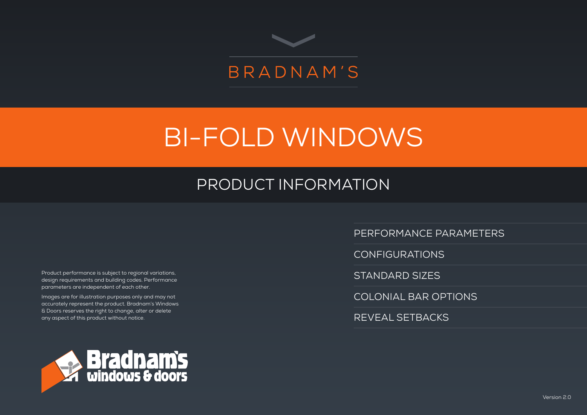

# BI-FOLD WINDOWS

# PRODUCT INFORMATION

Product performance is subject to regional variations, design requirements and building codes. Performance parameters are independent of each other.

Images are for illustration purposes only and may not accurately represent the product. Bradnam's Windows & Doors reserves the right to change, alter or delete any aspect of this product without notice.



PERFORMANCE PARAMETERS

CONFIGURATIONS

STANDARD SIZES

COLONIAL BAR OPTIONS

REVEAL SETBACKS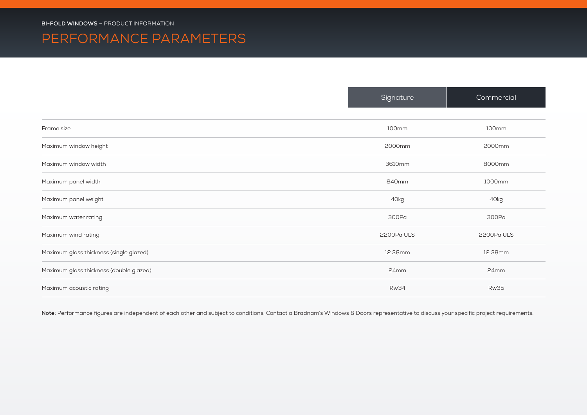### PERFORMANCE PARAMETERS

|                                         | Signature   | Commercial  |
|-----------------------------------------|-------------|-------------|
|                                         |             |             |
| Frame size                              | 100mm       | 100mm       |
| Maximum window height                   | 2000mm      | 2000mm      |
| Maximum window width                    | 3610mm      | 8000mm      |
| Maximum panel width                     | 840mm       | 1000mm      |
| Maximum panel weight                    | 40kg        | 40kg        |
| Maximum water rating                    | 300Pa       | 300Pa       |
| Maximum wind rating                     | 2200Pa ULS  | 2200Pa ULS  |
| Maximum glass thickness (single glazed) | 12.38mm     | 12.38mm     |
| Maximum glass thickness (double glazed) | 24mm        | 24mm        |
| Maximum acoustic rating                 | <b>Rw34</b> | <b>Rw35</b> |

Note: Performance figures are independent of each other and subject to conditions. Contact a Bradnam's Windows & Doors representative to discuss your specific project requirements.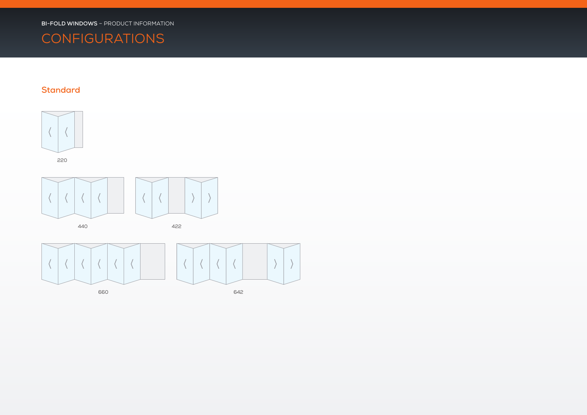# **CONFIGURATIONS**

#### **Standard**



660 642

 $\setminus$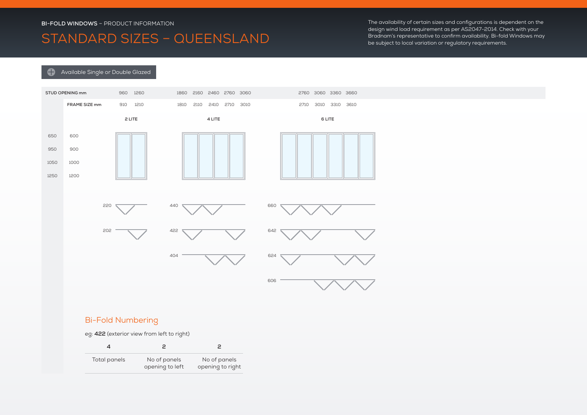### STANDARD SIZES – QUEENSLAND

The availability of certain sizes and configurations is dependent on the design wind load requirement as per AS2047-2014. Check with your Bradnam's representative to confirm availability. Bi-fold Windows may be subject to local variation or regulatory requirements.

#### **Available Single or Double Glazed**



#### Bi-Fold Numbering

eg: **422** (exterior view from left to right)

| Total panels | No of panels<br>opening to left | No of panels<br>opening to right |
|--------------|---------------------------------|----------------------------------|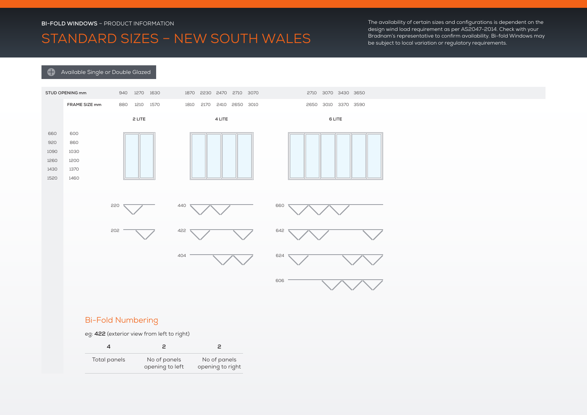# STANDARD SIZES – NEW SOUTH WALES

The availability of certain sizes and configurations is dependent on the design wind load requirement as per AS2047-2014. Check with your Bradnam's representative to confirm availability. Bi-fold Windows may be subject to local variation or regulatory requirements.

#### **Available Single or Double Glazed**



#### Bi-Fold Numbering

eg: **422** (exterior view from left to right)

| Total panels | No of panels<br>opening to left | No of panels<br>opening to right |
|--------------|---------------------------------|----------------------------------|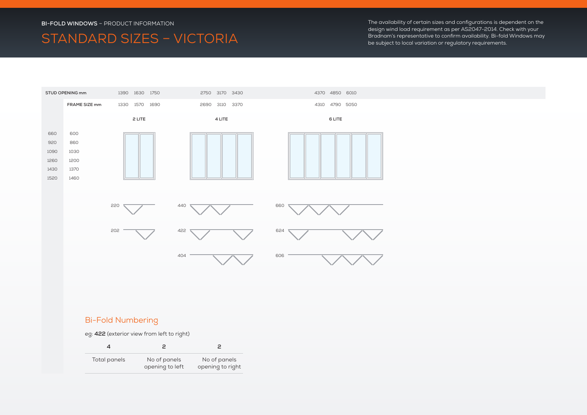# STANDARD SIZES – VICTORIA

The availability of certain sizes and configurations is dependent on the design wind load requirement as per AS2047-2014. Check with your Bradnam's representative to confirm availability. Bi-fold Windows may be subject to local variation or regulatory requirements.



#### Bi-Fold Numbering

eg: **422** (exterior view from left to right)

| Total panels | No of panels<br>opening to left | No of panels<br>opening to right |
|--------------|---------------------------------|----------------------------------|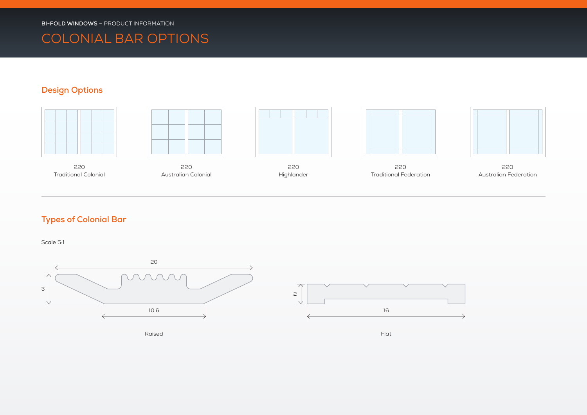# COLONIAL BAR OPTIONS

#### **Design Options**



220 Traditional Colonial







220 Highlander



220 Traditional Federation



220 Australian Federation

#### **Types of Colonial Bar**

Scale 5:1



Raised